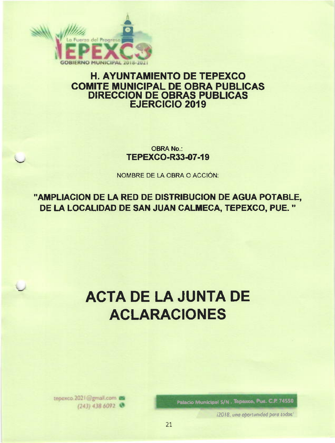

# **H. AYUNTAMIENTO DE TEPEXCO COMITE MUNICIPAL DE OBRA PUBLICAS DIRECCION DE OBRAS PUBLICAS EJERCICIO 2019**

OBRA No.: **TEPEXCO-R33-07-19** 

NOMBRE DE LA OBRA O ACCIÓN:

"AMPLIACION DE LA RED DE DISTRIBUCION DE AGUA POTABLE, DE LA LOCALIDAD DE SAN JUAN CALMECA, TEPEXCO, PUE."

# **ACTA DE LA JUNTA DE ACLARACIONES**

Palacio Municipal S/N. Tepasco, Pue. C.P. 74550

i2018, una oportunidad para todos!

tepexco.2021@gmail.com (243) 438 6092 @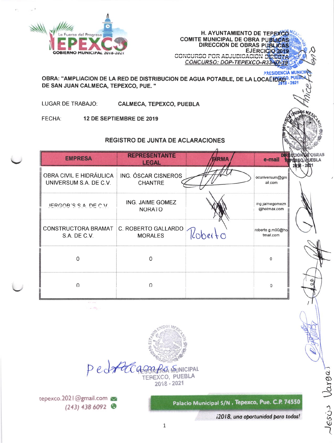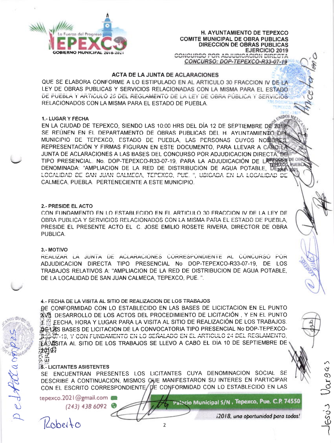

**H. AYUNTAMIENTO DE TEPEXCO COMITE MUNICIPAL DE OBRA PÚBLICAS DIRECCION DE OBRAS PUBLICAS** EJERCICIO 2019 CONCURSO POR ADJUDICACION DIRECTA

CONCURSO: DOP-TEPEXCO-R33-07-19

**NINIDOS** A

# **ACTA DE LA JUNTA DE ACLARACIONES**

QUE SE ELABORA CONFORME A LO ESTIPULADO EN AL ARTICULO 30 FRACCION IV DE LA LEY DE OBRAS PUBLICAS Y SERVICIOS RELACIONADAS CON LA MISMA PARA EL ESTADO DE PUEBLA Y ARTICULO 25 DEL REGLAMENTO DE LA LEY DE OBRA PÚBLICA Y SERVICIÓS RELACIONADOS CON LA MISMA PARA EL ESTADO DE PUEBLA.

# **1.- LUGAR Y FECHA**

EN LA CIUDAD DE TEPEXCO. SIENDO LAS 10:00 HRS DEL DÍA 12 DE SEPTIEMBRE DE 2019 SE REUNEN EN EL DEPARTAMENTO DE OBRAS PUBLICAS DEL H. AYUNTAMIENTO DE MUNICIPIO DE TEPEXCO, ESTADO DE PUEBLA, LAS PERSONAS CUYOS NOMBRES REPRESENTACIÓN Y FIRMAS FIGURAN EN ESTE DOCUMENTO, PARA LLEVAR A CABOTLA JUNTA DE ACLARACIONES A LAS BASES DEL CONCURSO POR ADJUDICACION DIRECTA DE TIPO PRESENCIAL No. DOP-TEPEXCO-R33-07-19, PARA LA ADJUDICACIÓN DE LAREGERA DE OB **PUEBC** DENOMINADA: "AMPLIACION DE LA RED DE DISTRIBUCION DE AGUA POTABLE, DE204AVI2 LOCALIDAD DE SAN JUAN CALMECA, TEPEXCO, PUE, ", UBICADA EN LA LOCALIDAD DE CALMECA, PUEBLA. PERTENECIENTE A ESTE MUNICIPIO.

# 2.- PRESIDE EL ACTO

CON FUNDAMENTO EN LO ESTABLECIDO EN EL ARTICULO 30 FRACCION IV DE LA LEY DE OBRA PUBLICA Y SERVICIOS RELACIONADOS CON LA MISMA PARA EL ESTADO DE PUEBLA, PRESIDE EL PRESENTE ACTO EL C. JOSE EMILIO ROSETE RIVERA, DIRECTOR DE OBRA PUBLICA.

# 3.- MOTIVO

REALIZAR LA JUNTA DE ACLARACIONES CORRESPONDIENTE AL CONCURSO POR ADJUDICACION DIRECTA TIPO PRESENCIAL No DOP-TEPEXCO-R33-07-19, DE LOS TRABAJOS RELATIVOS A: "AMPLIACION DE LA RED DE DISTRIBUCION DE AGUA POTABLE, DE LA LOCALIDAD DE SAN JUAN CALMECA. TEPEXCO. PUE.11.

# 4.- FECHA DE LA VISITA AL SITIO DE REALIZACION DE LOS TRABAJOS

BE CONFORMIDAD CON LO ESTABLECIDO EN LAS BASES DE LICICTACION EN EL PUNTO XVII. DESARROLLO DE LOS ACTOS DEL PROCEDIMIENTO DE LICITACIÓN, Y EN EL PUNTO E E ECHA, HORA Y LUGAR PARA LA VISITA AL SITIO DE REALIZACIÓN DE LOS TRABAJOS. DE LASS BASES DE LICITACION DE LA CONVOCATORIA TIPO PRESENCIAL No DOP-TEPEXCO-FOT-19, Y CON FUNDAMENTO EN LO SEÑALADO EN EL ARTICULO 24 DEL REGLAMENTO. LA VASITA AL SITIO DE LOS TRABAJOS SE LLEVO A CABO EL DÍA 10 DE SEPTIEMBRE DE र्ज्यसः

# ន្តរដ្ឋ **15.- LICITANTES ASISTENTES**

SE ENCUENTRAN PRESENTES LOS LICITANTES CUYA DENOMINACION SOCIAL SE DESCRIBE A CONTINUACION, MISMOS QUE MANIFESTARON SU INTERES EN PARTICIPAR CON EL ESCRITO CORRESPONDIENTE/DE CONFORMIDAD CON LO ESTABLECIDO EN LAS

tepexco.2021@gmail.com

 $(243)$  438 6092

Roberto

Dedratampe

i2018, una oportunidad para todos!

Palacio Municipal S/N, Tepexco, Pue. C.P. 74550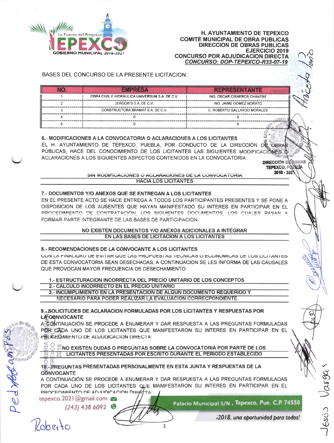

#### H. AYUNTAMIENTO DE TEPEXCO **COMITÉ MUNICIPAL DE OBRA PÚBLICAS DIRECCION DE OBRAS PÚBLICAS EJERCICIO 2019 CONCURSO POR ADJUDICACION DIRECTA** CONCURSO: DOP-TEPEXCO-R33-07-19

# BASES DEL CONCURSO DE LA PRESENTE LICITACION.

| <b>EMPRESA</b>                                 | <b>REPRESENTANTE</b>         |
|------------------------------------------------|------------------------------|
| OBRA CIVIL E HIDRAULICA UNIVERSUM S.A. DE C.V. | ING. OSCAR CISNEROS CHANTRE. |
| JERGOB'S S.A. DE C.V.                          | ING, JAIME GOMEZ NORATO      |
| CONSTRUCTORA BRAMAT S.A. DE C.V.               | C. ROBERTO GALLARDO MORALES  |
|                                                |                              |
|                                                |                              |

6.- MODIFICACIONES A LA CONVOCATORIA O ACLARACIONES A LOS LICITANTES EL H. AYUNTAMIENTO DE TEPEXCO, PUEBLA, POR CONDUCTO DE LA DIRECCIÓN DE OBRAF PÚBLICAS, HACE DEL CONOCIMIENTO DE LOS LICITANTES LAS SIGUIENTES MODIFICACIÓNES ACLARACIONES A LOS SIGUIENTES ASPECTOS CONTENIDOS EN LA CONVOCATORIA:

**DIRECCIÓN DE NERAS TEPEXCO, PIN** bkas ka 2018 - 2021

#### SIN MODIFICACIONES O ACLARACIONES DE LA CONVOCATORIA **HACIA LOS LICITANTES**

# 7.- DOCUMENTOS Y/O ANEXOS QUE SE ENTREGAN A LOS LICITANTES

EN EL PRESENTE ACTO SE HACE ENTREGA A TODOS LOS PARTICIPANTES PRESENTES Y SE PONE A DISPOSICION DE LOS AUSENTES QUE HAYAN MANIFESTADO SU INTERES EN PARTICIPAR EN EL PROCEDIMIENTO DE CONTRATACION, LOS SIGUIENTES DOCUMENTOS, LOS CUALES PASAN A FORMAR PARTE INTEGRANTE DE LAS BASES DE PARTICIPACION:

#### NO EXISTEN DOCUMENTOS Y/O ANEXOS ADICIONALES A INTEGRAR EN LAS BASES DE LICITACION A LOS LICITANTES

#### 8.- RECOMENDACIONES DE LA CONVOCANTE A LOS LICITANTES

CON LA FINALIDAD DE EVITAR QUE LAS PROPUESTAS TECNICAS O ECONOMICAS DE LOS LIGTANTES DE ESTA CONVOCATORIA SEAN DESECHADAS, A CONTINUACION SE LES INFORMA DE LAS CAUSALES QUE PROVOCAN MAYOR FRECUENCIA DE DESECHAMIENTO:

1.- ESTRUCTURACION INCORRECTA DEL PRECIO UNITARIO DE LOS CONCEPTOS

2.- CALCULO INCORRECTO EN EL PRECIO UNITARIO

3.- INCUMPLIMIENTO EN LA PRESENTACION DE ALGUN DOCUMENTO REQUERIDO Y

NECESARIO PARA PODER REALIZAR LA EVALUACION CORRECPONDIENTE.

9.-SOLICITUDES DE ACLARACION FORMULADAS POR LOS LICITANTES Y RESPUESTAS POR **LA-GONVOCANTE** 

A@@MTINUACIÓN SE PROCEDE A ENUMERAR Y DAR RESPUESTA A LAS PREGUNTAS FORMULADAS POR CADA UNO DE LOS LICITANTES QUE MANIFESTARON SU INTERES EN PARTICIPAR EN EL PROGEDIMIENTO DE ADJUDICACION DIRECTA:

NO EXISTEN DUDAS O PREGUNTAS SOBRE LA CONVOCATORIA POR PARTE DE LOS **E LICITANTES PRESENTADAS POR ESCRITO DURANTE EL PERIODO ESTABLECIDO** 

# 19. PREGUNTAS PRESENTADAS PERSONALMENTE EN ESTA JUNTA Y RESPUESTAS DE LA CONVOCANTE

A CONTINUACIÓN SE PROCEDE A ENUMERAR Y DAR RESPUESTA A LAS PREGUNTAS FORMULADAS POR CADA UNO DE LOS LICITANTES QUE MANIFESTARON SU INTERES EN PARTICIPAR EN EL PROCEDIMIENTO DE AD ILIDICACION DIREG **ΤΔ** 

tepexco.2021@gmail.com

 $(243)$  438 6092

Pobeito

NAPO

Palacio Municipal S/N, Tepexco, Pue. C.P. 74550

i2018, una oportunidad para todos!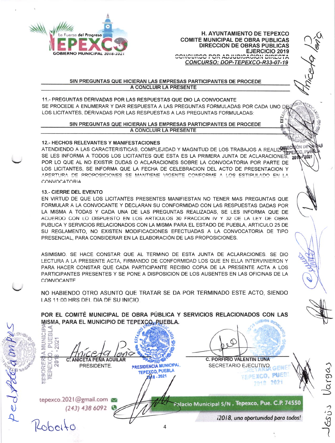

**H. AYUNTAMIENTO DE TEPEXCO COMITÉ MUNICIPAL DE OBRA PÚBLICAS DIRECCION DE OBRAS PÚBLICAS EJERCICIO 2019** CONCURSO FOR ADJUDICACION DIRECTA CONCURSO: DOP-TEPEXCO-R33-07-19

Varga

 $\overline{\mathcal{L}}$ 

#### SIN PREGUNTAS QUE HICIERAN LAS EMPRESAS PARTICIPANTES DE PROCEDE A CONCLUIR LA PRESENTE

11.- PREGUNTAS DERIVADAS POR LAS RESPUESTAS QUE DIO LA CONVOCANTE SE PROCEDE A ENUMERAR Y DAR RESPUESTA A LAS PREGUNTAS FORMULADAS POR CADA UNO DE LOS LICITANTES, DERIVADAS POR LAS RESPUESTAS A LAS PREGUNTAS FORMULADAS:

> SIN PREGUNTAS QUE HICIERAN LAS EMPRESAS PARTICIPANTES DE PROCEDE A CONCLUIR LA PRESENTE

## **12.- HECHOS RELEVANTES Y MANIFESTACIONES**

ATENDIENDO A LAS CARACTERISTICAS, COMPLEJIDAD Y MAGNITUD DE LOS TRABAJOS A REALIZARECO SE LES INFORMA A TODOS LOS LICITANTES QUE ESTA ES LA PRIMERA JUNTA DE ACLARACIONES, 2  $2010$ POR LO QUE AL NO EXISTIR DUDAS O ACLARACIONES SOBRE LA CONVOCATORIA POR PARTE DE LOS LICITANTES. SE INFORMA QUE LA FECHA DE CELEBRACION DEL ACTO DE PRESENTACION Y APERTURA DE PROPOSICIONES SE MANTIENE VIGENTE CONFORME A LOS ESTIPULADO EN LA CONVOCATORIA

## **13.- CIERRE DEL EVENTO**

**CESCIA** 

EN VIRTUD DE QUE LOS LICITANTES PRESENTES MANIFIESTAN NO TENER MAS PREGUNTAS QUE FORMULAR A LA CONVOCANTE Y DECLARAN SU CONFORMIDAD CON LAS RESPUESTAS DADAS POR LA MISMA A TODAS Y CADA UNA DE LAS PREGUNTAS REALIZADAS, SE LES INFORMA QUE DE ACUERDO CON LO DISPUESTO EN LOS ARTICULOS 30 FRACCION IV Y 32 DE LA LEY DE OBRA PUBLICA Y SERVICIOS RELACIONADOS CON LA MISMA PARA EL ESTADO DE PUEBLA. ARTICULO 25 DE SU REGLAMENTO, NO EXISTEN MODIFICACIONES EFECTUADAS A LA CONVOCATORIA DE TIPO PRESENCIAL, PARA CONSIDERAR EN LA ELABORACIÓN DE LAS PROPOSICIONES.

ASIMISMO. SE HACE CONSTAR QUE AL TERMINO DE ESTA JUNTA DE ACLARACIONES. SE DIO LECTURA A LA PRESENTE ACTA, FIRMANDO DE CONFORMIDAD LOS QUE EN ELLA INTERVINIERON Y PARA HACER CONSTAR QUE CADA PARTICIPANTE RECIBIO COPIA DE LA PRESENTE ACTA A LOS PARTICIPANTES PRESENTES Y SE PONE A DISPOSICION DE LOS AUSENTES EN LAS OFICINAS DE LA CONVOCANTE

NO HABIENDO OTRO ASUNTO QUE TRATAR SE DA POR TERMINADO ESTE ACTO, SIENDO LAS 11:00 HRS DEL DÍA DE SU INICIO.

POR EL COMITÉ MUNICIPAL DE OBRA PÚBLICA Y SERVICIOS RELACIONADOS CON LAS MISMA, PARA EL MUNICIPIO DE TEPEXCO, RUEBLA.